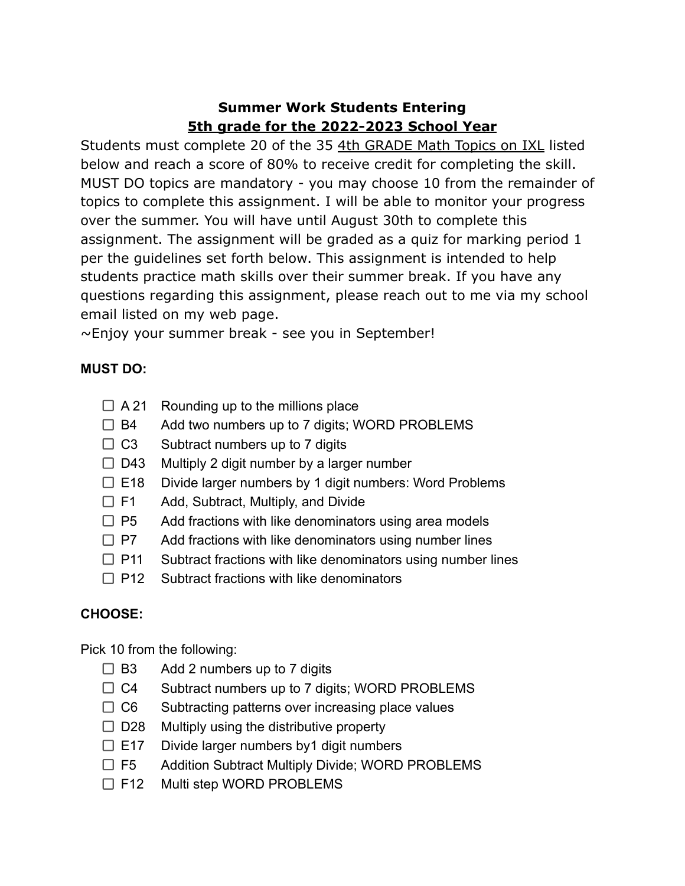## **Summer Work Students Entering 5th grade for the 2022-2023 School Year**

Students must complete 20 of the 35 4th GRADE Math Topics on IXL listed below and reach a score of 80% to receive credit for completing the skill. MUST DO topics are mandatory - you may choose 10 from the remainder of topics to complete this assignment. I will be able to monitor your progress over the summer. You will have until August 30th to complete this assignment. The assignment will be graded as a quiz for marking period 1 per the guidelines set forth below. This assignment is intended to help students practice math skills over their summer break. If you have any questions regarding this assignment, please reach out to me via my school email listed on my web page.

 $\sim$ Enjoy your summer break - see you in September!

## **MUST DO:**

- $\Box$  A 21 Rounding up to the millions place
- $\Box$  B4 Add two numbers up to 7 digits; WORD PROBLEMS
- $\Box$  C3 Subtract numbers up to 7 digits
- $\Box$  D43 Multiply 2 digit number by a larger number
- $\Box$  E18 Divide larger numbers by 1 digit numbers: Word Problems
- □ F1 Add, Subtract, Multiply, and Divide
- $\Box$  P5 Add fractions with like denominators using area models
- $\Box$  P7 Add fractions with like denominators using number lines
- $\Box$  P11 Subtract fractions with like denominators using number lines
- $\Box$  P12 Subtract fractions with like denominators

## **CHOOSE:**

Pick 10 from the following:

- $\Box$  B3 Add 2 numbers up to 7 digits
- $\Box$  C4 Subtract numbers up to 7 digits; WORD PROBLEMS
- $\Box$  C6 Subtracting patterns over increasing place values
- $\Box$  D28 Multiply using the distributive property
- $\Box$  E17 Divide larger numbers by 1 digit numbers
- □ F5 Addition Subtract Multiply Divide; WORD PROBLEMS
- □ F12 Multi step WORD PROBLEMS